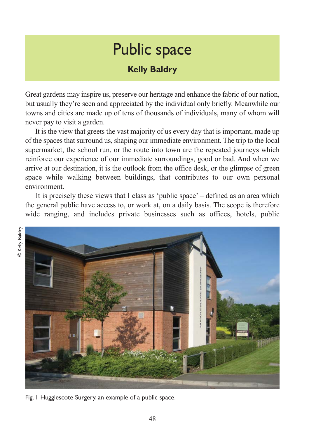## Public space

## **Kelly Baldry**

Great gardens may inspire us, preserve our heritage and enhance the fabric of our nation, but usually they're seen and appreciated by the individual only briefly. Meanwhile our towns and cities are made up of tens of thousands of individuals, many of whom will never pay to visit a garden.

It is the view that greets the vast majority of us every day that is important, made up of the spaces that surround us, shaping our immediate environment. The trip to the local supermarket, the school run, or the route into town are the repeated journeys which reinforce our experience of our immediate surroundings, good or bad. And when we arrive at our destination, it is the outlook from the office desk, or the glimpse of green space while walking between buildings, that contributes to our own personal environment.

It is precisely these views that I class as 'public space' – defined as an area which the general public have access to, or work at, on a daily basis. The scope is therefore wide ranging, and includes private businesses such as offices, hotels, public



Fig. 1 Hugglescote Surgery, an example of a public space.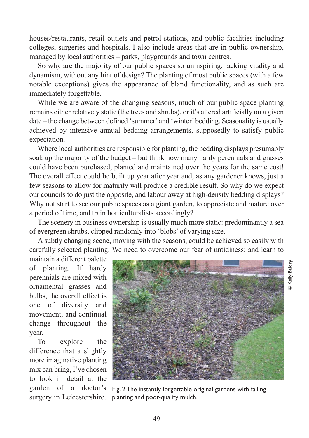houses/restaurants, retail outlets and petrol stations, and public facilities including colleges, surgeries and hospitals. I also include areas that are in public ownership, managed by local authorities – parks, playgrounds and town centres.

So why are the majority of our public spaces so uninspiring, lacking vitality and dynamism, without any hint of design? The planting of most public spaces (with a few notable exceptions) gives the appearance of bland functionality, and as such are immediately forgettable.

While we are aware of the changing seasons, much of our public space planting remains either relatively static (the trees and shrubs), or it's altered artificially on a given date – the change between defined 'summer' and 'winter' bedding. Seasonality is usually achieved by intensive annual bedding arrangements, supposedly to satisfy public expectation.

Where local authorities are responsible for planting, the bedding displays presumably soak up the majority of the budget – but think how many hardy perennials and grasses could have been purchased, planted and maintained over the years for the same cost! The overall effect could be built up year after year and, as any gardener knows, just a few seasons to allow for maturity will produce a credible result. So why do we expect our councils to do just the opposite, and labour away at high-density bedding displays? Why not start to see our public spaces as a giant garden, to appreciate and mature over a period of time, and train horticulturalists accordingly?

The scenery in business ownership is usually much more static: predominantly a sea of evergreen shrubs, clipped randomly into 'blobs' of varying size.

A subtly changing scene, moving with the seasons, could be achieved so easily with carefully selected planting. We need to overcome our fear of untidiness; and learn to

maintain a different palette of planting. If hardy perennials are mixed with ornamental grasses and bulbs, the overall effect is one of diversity and movement, and continual change throughout the year.

To explore the difference that a slightly more imaginative planting mix can bring, I've chosen to look in detail at the garden of a doctor's surgery in Leicestershire.



© Kelly Baldry© Kelly Baldry

Fig. 2 The instantly forgettable original gardens with failing planting and poor-quality mulch.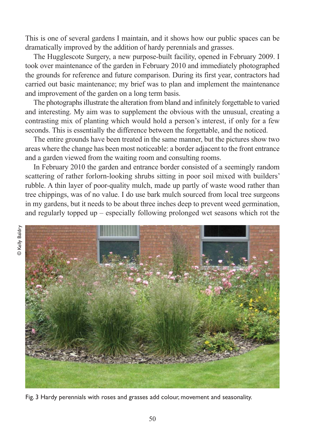This is one of several gardens I maintain, and it shows how our public spaces can be dramatically improved by the addition of hardy perennials and grasses.

The Hugglescote Surgery, a new purpose-built facility, opened in February 2009. I took over maintenance of the garden in February 2010 and immediately photographed the grounds for reference and future comparison. During its first year, contractors had carried out basic maintenance; my brief was to plan and implement the maintenance and improvement of the garden on a long term basis.

The photographs illustrate the alteration from bland and infinitely forgettable to varied and interesting. My aim was to supplement the obvious with the unusual, creating a contrasting mix of planting which would hold a person's interest, if only for a few seconds. This is essentially the difference between the forgettable, and the noticed.

The entire grounds have been treated in the same manner, but the pictures show two areas where the change has been most noticeable: a border adjacent to the front entrance and a garden viewed from the waiting room and consulting rooms.

In February 2010 the garden and entrance border consisted of a seemingly random scattering of rather forlorn-looking shrubs sitting in poor soil mixed with builders' rubble. A thin layer of poor-quality mulch, made up partly of waste wood rather than tree chippings, was of no value. I do use bark mulch sourced from local tree surgeons in my gardens, but it needs to be about three inches deep to prevent weed germination, and regularly topped up – especially following prolonged wet seasons which rot the



Fig. 3 Hardy perennials with roses and grasses add colour, movement and seasonality.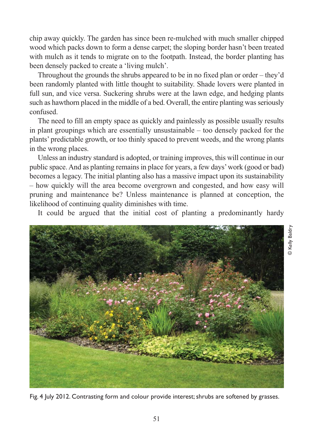chip away quickly. The garden has since been re-mulched with much smaller chipped wood which packs down to form a dense carpet; the sloping border hasn't been treated with mulch as it tends to migrate on to the footpath. Instead, the border planting has been densely packed to create a 'living mulch'.

Throughout the grounds the shrubs appeared to be in no fixed plan or order – they'd been randomly planted with little thought to suitability. Shade lovers were planted in full sun, and vice versa. Suckering shrubs were at the lawn edge, and hedging plants such as hawthorn placed in the middle of a bed. Overall, the entire planting was seriously confused.

The need to fill an empty space as quickly and painlessly as possible usually results in plant groupings which are essentially unsustainable – too densely packed for the plants' predictable growth, or too thinly spaced to prevent weeds, and the wrong plants in the wrong places.

Unless an industry standard is adopted, or training improves, this will continue in our public space. And as planting remains in place for years, a few days' work (good or bad) becomes a legacy. The initial planting also has a massive impact upon its sustainability – how quickly will the area become overgrown and congested, and how easy will pruning and maintenance be? Unless maintenance is planned at conception, the likelihood of continuing quality diminishes with time.

It could be argued that the initial cost of planting a predominantly hardy



Fig. 4 July 2012. Contrasting form and colour provide interest; shrubs are softened by grasses.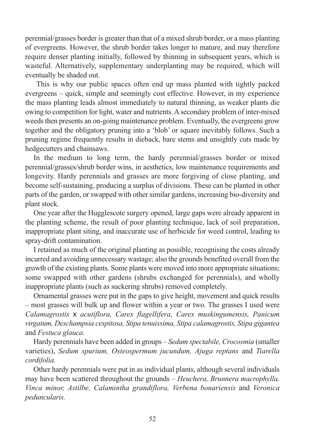perennial/grasses border is greater than that of a mixed shrub border, or a mass planting of evergreens. However, the shrub border takes longer to mature, and may therefore require denser planting initially, followed by thinning in subsequent years, which is wasteful. Alternatively, supplementary underplanting may be required, which will eventually be shaded out.

This is why our public spaces often end up mass planted with tightly packed evergreens – quick, simple and seemingly cost effective. However, in my experience the mass planting leads almost immediately to natural thinning, as weaker plants die owing to competition for light, water and nutrients. A secondary problem of inter-mixed weeds then presents an on-going maintenance problem. Eventually, the evergreens grow together and the obligatory pruning into a 'blob' or square inevitably follows. Such a pruning regime frequently results in dieback, bare stems and unsightly cuts made by hedgecutters and chainsaws.

In the medium to long term, the hardy perennial/grasses border or mixed perennial/grasses/shrub border wins, in aesthetics, low maintenance requirements and longevity. Hardy perennials and grasses are more forgiving of close planting, and become self-sustaining, producing a surplus of divisions. These can be planted in other parts of the garden, or swapped with other similar gardens, increasing bio-diversity and plant stock.

One year after the Hugglescote surgery opened, large gaps were already apparent in the planting scheme, the result of poor planting technique, lack of soil preparation, inappropriate plant siting, and inaccurate use of herbicide for weed control, leading to spray-drift contamination.

I retained as much of the original planting as possible, recognising the costs already incurred and avoiding unnecessary wastage; also the grounds benefited overall from the growth of the existing plants. Some plants were moved into more appropriate situations; some swapped with other gardens (shrubs exchanged for perennials), and wholly inappropriate plants (such as suckering shrubs) removed completely.

Ornamental grasses were put in the gaps to give height, movement and quick results – most grasses will bulk up and flower within a year or two. The grasses I used were *Calamagrostis* x *acutiflora, Carex flagellifera, Carex muskingumensis, Panicum virgatum, Deschampsia cespitosa, Stipa tenuissima, Stipa calamagrostis, Stipa gigantea* and *Festuca glauca.* 

Hardy perennials have been added in groups – *Sedum spectabile, Crocosmia* (smaller varieties), *Sedum spurium, Osteospermum jucundum, Ajuga reptans* and *Tiarella cordifolia.*

Other hardy perennials were put in as individual plants, although several individuals may have been scattered throughout the grounds – *Heuchera, Brunnera macrophylla, Vinca minor, Astilbe, Calamintha grandiflora, Verbena bonariensis* and *Veronica peduncularis.*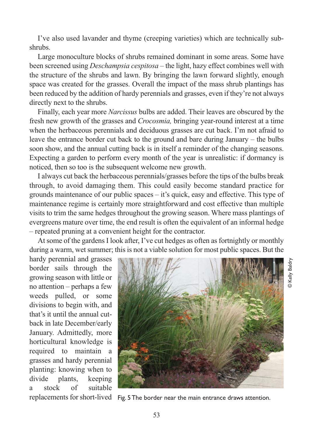I've also used lavander and thyme (creeping varieties) which are technically subshrubs.

Large monoculture blocks of shrubs remained dominant in some areas. Some have been screened using *Deschampsia cespitosa* – the light, hazy effect combines well with the structure of the shrubs and lawn. By bringing the lawn forward slightly, enough space was created for the grasses. Overall the impact of the mass shrub plantings has been reduced by the addition of hardy perennials and grasses, even if they're not always directly next to the shrubs.

Finally, each year more *Narcissus* bulbs are added. Their leaves are obscured by the fresh new growth of the grasses and *Crocosmia,* bringing year-round interest at a time when the herbaceous perennials and deciduous grasses are cut back. I'm not afraid to leave the entrance border cut back to the ground and bare during January – the bulbs soon show, and the annual cutting back is in itself a reminder of the changing seasons. Expecting a garden to perform every month of the year is unrealistic: if dormancy is noticed, then so too is the subsequent welcome new growth.

I always cut back the herbaceous perennials/grasses before the tips of the bulbs break through, to avoid damaging them. This could easily become standard practice for grounds maintenance of our public spaces – it's quick, easy and effective. This type of maintenance regime is certainly more straightforward and cost effective than multiple visits to trim the same hedges throughout the growing season. Where mass plantings of evergreens mature over time, the end result is often the equivalent of an informal hedge – repeated pruning at a convenient height for the contractor.

At some of the gardens I look after, I've cut hedges as often as fortnightly or monthly during a warm, wet summer; this is not a viable solution for most public spaces. But the

hardy perennial and grasses border sails through the growing season with little or no attention – perhaps a few weeds pulled, or some divisions to begin with, and that's it until the annual cutback in late December/early January. Admittedly, more horticultural knowledge is required to maintain a grasses and hardy perennial planting: knowing when to divide plants, keeping a stock of suitable



© Kelly Baldry**D** Kelly Baldry

replacements for short-lived Fig. 5 The border near the main entrance draws attention.